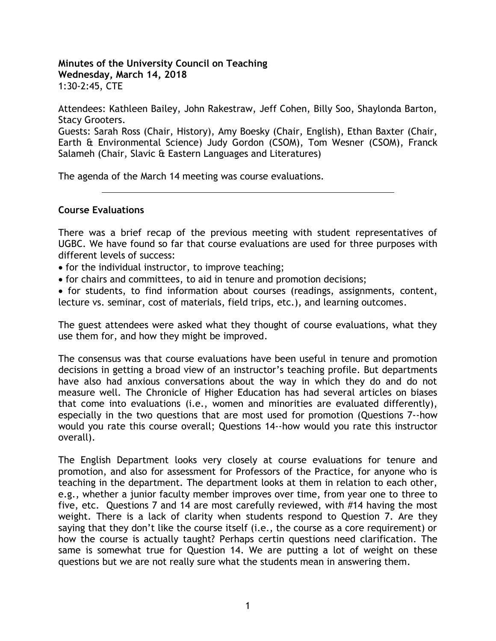**Minutes of the University Council on Teaching Wednesday, March 14, 2018** 1:30-2:45, CTE

Attendees: Kathleen Bailey, John Rakestraw, Jeff Cohen, Billy Soo, Shaylonda Barton, Stacy Grooters.

Guests: Sarah Ross (Chair, History), Amy Boesky (Chair, English), Ethan Baxter (Chair, Earth & Environmental Science) Judy Gordon (CSOM), Tom Wesner (CSOM), Franck Salameh (Chair, Slavic & Eastern Languages and Literatures)

The agenda of the March 14 meeting was course evaluations.

# **Course Evaluations**

There was a brief recap of the previous meeting with student representatives of UGBC. We have found so far that course evaluations are used for three purposes with different levels of success:

- for the individual instructor, to improve teaching;
- for chairs and committees, to aid in tenure and promotion decisions;

• for students, to find information about courses (readings, assignments, content, lecture vs. seminar, cost of materials, field trips, etc.), and learning outcomes.

The guest attendees were asked what they thought of course evaluations, what they use them for, and how they might be improved.

The consensus was that course evaluations have been useful in tenure and promotion decisions in getting a broad view of an instructor's teaching profile. But departments have also had anxious conversations about the way in which they do and do not measure well. The Chronicle of Higher Education has had several articles on biases that come into evaluations (i.e., women and minorities are evaluated differently), especially in the two questions that are most used for promotion (Questions 7--how would you rate this course overall; Questions 14--how would you rate this instructor overall).

The English Department looks very closely at course evaluations for tenure and promotion, and also for assessment for Professors of the Practice, for anyone who is teaching in the department. The department looks at them in relation to each other, e.g., whether a junior faculty member improves over time, from year one to three to five, etc. Questions 7 and 14 are most carefully reviewed, with #14 having the most weight. There is a lack of clarity when students respond to Question 7. Are they saying that they don't like the course itself (i.e., the course as a core requirement) or how the course is actually taught? Perhaps certin questions need clarification. The same is somewhat true for Question 14. We are putting a lot of weight on these questions but we are not really sure what the students mean in answering them.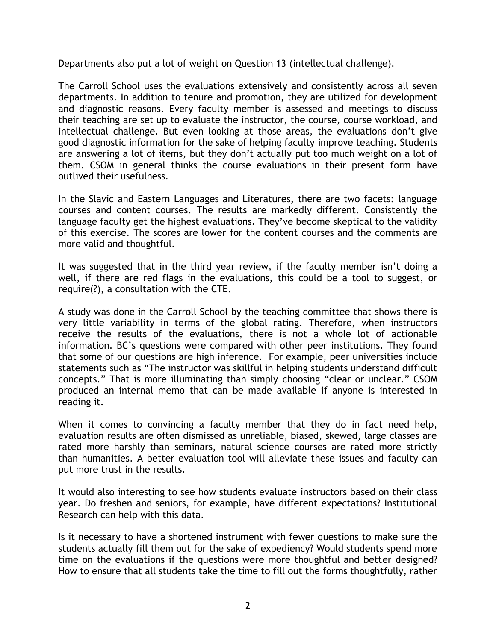Departments also put a lot of weight on Question 13 (intellectual challenge).

The Carroll School uses the evaluations extensively and consistently across all seven departments. In addition to tenure and promotion, they are utilized for development and diagnostic reasons. Every faculty member is assessed and meetings to discuss their teaching are set up to evaluate the instructor, the course, course workload, and intellectual challenge. But even looking at those areas, the evaluations don't give good diagnostic information for the sake of helping faculty improve teaching. Students are answering a lot of items, but they don't actually put too much weight on a lot of them. CSOM in general thinks the course evaluations in their present form have outlived their usefulness.

In the Slavic and Eastern Languages and Literatures, there are two facets: language courses and content courses. The results are markedly different. Consistently the language faculty get the highest evaluations. They've become skeptical to the validity of this exercise. The scores are lower for the content courses and the comments are more valid and thoughtful.

It was suggested that in the third year review, if the faculty member isn't doing a well, if there are red flags in the evaluations, this could be a tool to suggest, or require(?), a consultation with the CTE.

A study was done in the Carroll School by the teaching committee that shows there is very little variability in terms of the global rating. Therefore, when instructors receive the results of the evaluations, there is not a whole lot of actionable information. BC's questions were compared with other peer institutions. They found that some of our questions are high inference. For example, peer universities include statements such as "The instructor was skillful in helping students understand difficult concepts." That is more illuminating than simply choosing "clear or unclear." CSOM produced an internal memo that can be made available if anyone is interested in reading it.

When it comes to convincing a faculty member that they do in fact need help, evaluation results are often dismissed as unreliable, biased, skewed, large classes are rated more harshly than seminars, natural science courses are rated more strictly than humanities. A better evaluation tool will alleviate these issues and faculty can put more trust in the results.

It would also interesting to see how students evaluate instructors based on their class year. Do freshen and seniors, for example, have different expectations? Institutional Research can help with this data.

Is it necessary to have a shortened instrument with fewer questions to make sure the students actually fill them out for the sake of expediency? Would students spend more time on the evaluations if the questions were more thoughtful and better designed? How to ensure that all students take the time to fill out the forms thoughtfully, rather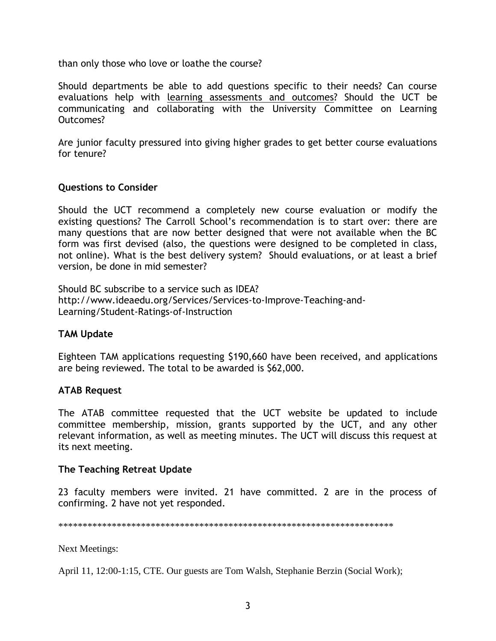than only those who love or loathe the course?

Should departments be able to add questions specific to their needs? Can course evaluations help with learning assessments and outcomes? Should the UCT be communicating and collaborating with the University Committee on Learning Outcomes?

Are junior faculty pressured into giving higher grades to get better course evaluations for tenure?

# **Questions to Consider**

Should the UCT recommend a completely new course evaluation or modify the existing questions? The Carroll School's recommendation is to start over: there are many questions that are now better designed that were not available when the BC form was first devised (also, the questions were designed to be completed in class, not online). What is the best delivery system? Should evaluations, or at least a brief version, be done in mid semester?

Should BC subscribe to a service such as IDEA? http://www.ideaedu.org/Services/Services-to-Improve-Teaching-and-Learning/Student-Ratings-of-Instruction

# **TAM Update**

Eighteen TAM applications requesting \$190,660 have been received, and applications are being reviewed. The total to be awarded is \$62,000.

# **ATAB Request**

The ATAB committee requested that the UCT website be updated to include committee membership, mission, grants supported by the UCT, and any other relevant information, as well as meeting minutes. The UCT will discuss this request at its next meeting.

# **The Teaching Retreat Update**

23 faculty members were invited. 21 have committed. 2 are in the process of confirming. 2 have not yet responded.

\*\*\*\*\*\*\*\*\*\*\*\*\*\*\*\*\*\*\*\*\*\*\*\*\*\*\*\*\*\*\*\*\*\*\*\*\*\*\*\*\*\*\*\*\*\*\*\*\*\*\*\*\*\*\*\*\*\*\*\*\*\*\*\*\*\*\*\*\*

Next Meetings:

April 11, 12:00-1:15, CTE. Our guests are Tom Walsh, Stephanie Berzin (Social Work);